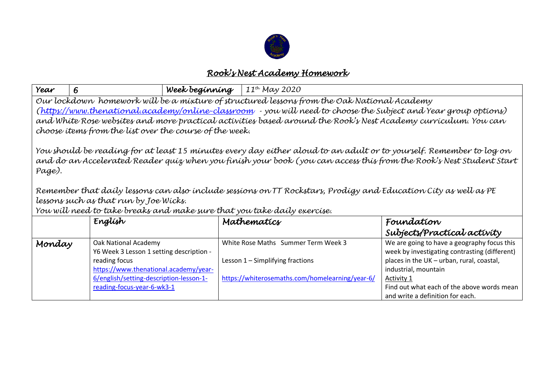

## *Rook's Nest Academy Homework*

| Year                                                                                                                                                                                                                                                                                                                                                                                                                                                                                          | 6                                                                                                                                                                     | Week beginning | $11^{th}$ May 2020                                                                                                         |                                                                                                                                                                                 |  |  |
|-----------------------------------------------------------------------------------------------------------------------------------------------------------------------------------------------------------------------------------------------------------------------------------------------------------------------------------------------------------------------------------------------------------------------------------------------------------------------------------------------|-----------------------------------------------------------------------------------------------------------------------------------------------------------------------|----------------|----------------------------------------------------------------------------------------------------------------------------|---------------------------------------------------------------------------------------------------------------------------------------------------------------------------------|--|--|
| Our lockdown homework will be a mixture of structured lessons from the Oak National Academy<br>(https://www.thenational.academy/online-classroom - you will need to choose the Subject and Year group options)<br>and White Rose websites and more practical activities based around the Rook's Nest Academy curriculum. You can<br>choose items from the list over the course of the week.                                                                                                   |                                                                                                                                                                       |                |                                                                                                                            |                                                                                                                                                                                 |  |  |
| You should be reading for at least 15 minutes every day either aloud to an adult or to yourself. Remember to log on<br>and do an Accelerated Reader quiz when you finish your book (you can access this from the Rook's Nest Student Start<br>Page).<br>Remember that daily lessons can also include sessions on TT Rockstars, Prodigy and Education City as well as PE<br>lessons such as that run by Joe Wicks.<br>You will need to take breaks and make sure that you take daily exercise. |                                                                                                                                                                       |                |                                                                                                                            |                                                                                                                                                                                 |  |  |
|                                                                                                                                                                                                                                                                                                                                                                                                                                                                                               | Englísh                                                                                                                                                               |                | Mathematics                                                                                                                | Foundation<br>Subjects/Practical activity                                                                                                                                       |  |  |
| Monday                                                                                                                                                                                                                                                                                                                                                                                                                                                                                        | Oak National Academy<br>Y6 Week 3 Lesson 1 setting description -<br>reading focus<br>https://www.thenational.academy/year-<br>6/english/setting-description-lesson-1- |                | White Rose Maths Summer Term Week 3<br>Lesson 1 - Simplifying fractions<br>https://whiterosemaths.com/homelearning/year-6/ | We are going to have a geography focus this<br>week by investigating contrasting (different)<br>places in the UK - urban, rural, coastal,<br>industrial, mountain<br>Activity 1 |  |  |
|                                                                                                                                                                                                                                                                                                                                                                                                                                                                                               | reading-focus-year-6-wk3-1                                                                                                                                            |                |                                                                                                                            | Find out what each of the above words mean<br>and write a definition for each.                                                                                                  |  |  |